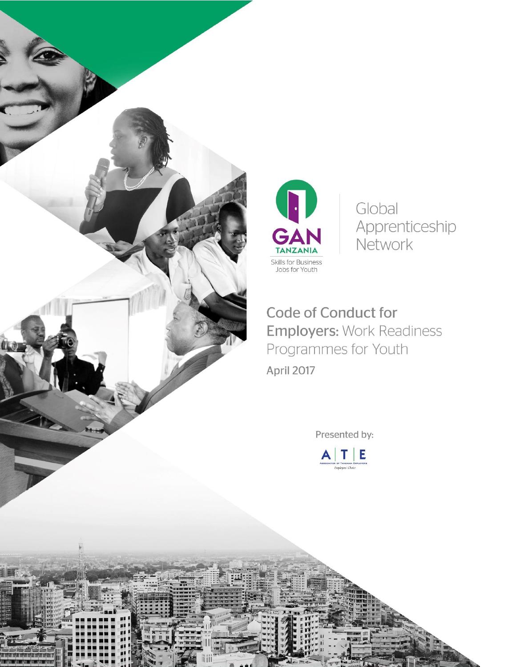



Global Apprenticeship Network

Code of Conduct for **Employers: Work Readiness** Programmes for Youth

Presented by:

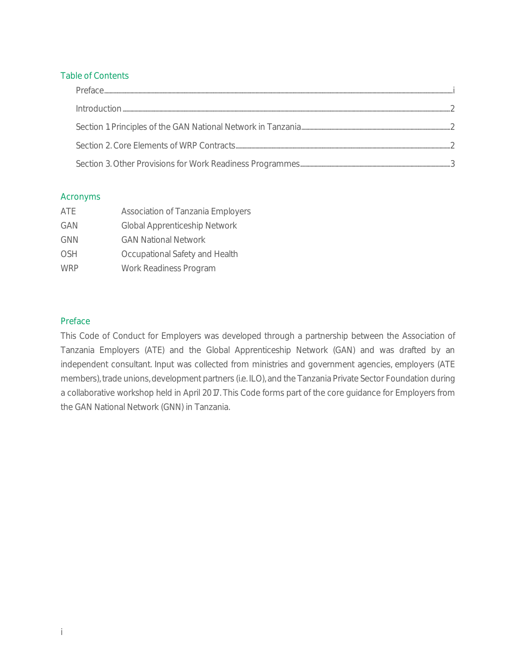### Table of Contents

| <b>Preface</b>                                                                                                                                                                                                                                                                                                                                                                                                                                                                                                                      |  |
|-------------------------------------------------------------------------------------------------------------------------------------------------------------------------------------------------------------------------------------------------------------------------------------------------------------------------------------------------------------------------------------------------------------------------------------------------------------------------------------------------------------------------------------|--|
| $\underbrace{\qquad \qquad In t rootuction.\\ \qquad \qquad \qquad ~~\qquad \qquad ~~\qquad \qquad ~~\qquad \qquad ~~\qquad \qquad ~~\qquad \qquad ~~\qquad \qquad ~~\qquad \qquad ~~\qquad \qquad ~~\qquad \qquad ~~\qquad \qquad ~~\qquad \qquad ~~\qquad \qquad ~~\qquad \qquad ~~\qquad \qquad ~~\qquad \qquad ~~\qquad \qquad ~~\qquad \qquad ~~\qquad \qquad ~~\qquad \qquad ~~\qquad \qquad ~~\qquad \qquad ~~\qquad \qquad ~~\qquad \qquad ~~\qquad \qquad ~~\qquad \qquad ~~\qquad \qquad ~~\qquad \qquad ~~\qquad \qquad$ |  |
|                                                                                                                                                                                                                                                                                                                                                                                                                                                                                                                                     |  |
|                                                                                                                                                                                                                                                                                                                                                                                                                                                                                                                                     |  |
|                                                                                                                                                                                                                                                                                                                                                                                                                                                                                                                                     |  |

### Acronyms

| ATE        | Association of Tanzania Employers |
|------------|-----------------------------------|
| GAN        | Global Apprenticeship Network     |
| <b>GNN</b> | <b>GAN National Network</b>       |
| <b>OSH</b> | Occupational Safety and Health    |
| <b>WRP</b> | Work Readiness Program            |

## <span id="page-1-0"></span>Preface

This Code of Conduct for Employers was developed through a partnership between the Association of Tanzania Employers (ATE) and the Global Apprenticeship Network (GAN) and was drafted by an independent consultant. Input was collected from ministries and government agencies, employers (ATE members), trade unions, development partners (i.e. ILO), and the Tanzania Private Sector Foundation during a collaborative workshop held in April 2017. This Code forms part of the core guidance for Employers from the GAN National Network (GNN) in Tanzania.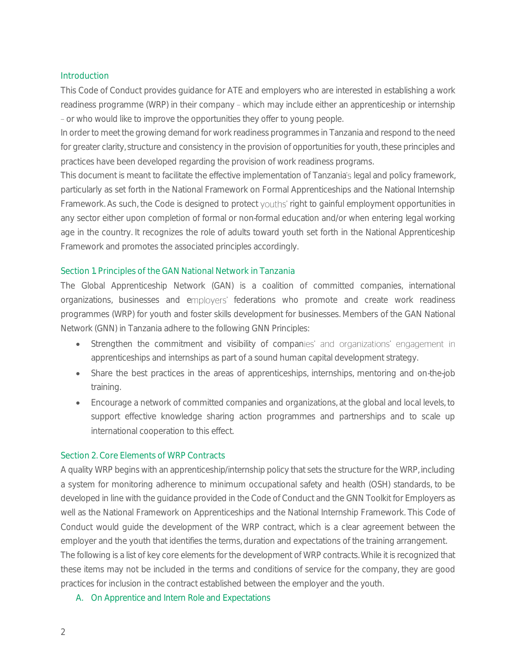#### <span id="page-2-0"></span>**Introduction**

This Code of Conduct provides guidance for ATE and employers who are interested in establishing a work readiness programme (WRP) in their company - which may include either an apprenticeship or internship or who would like to improve the opportunities they offer to young people.

In order to meet the growing demand for work readiness programmes in Tanzania and respond to the need for greater clarity, structure and consistency in the provision of opportunities for youth, these principles and practices have been developed regarding the provision of work readiness programs.

This document is meant to facilitate the effective implementation of Tanzania's legal and policy framework, particularly as set forth in the National Framework on Formal Apprenticeships and the National Internship Framework. As such, the Code is designed to protect youths' right to gainful employment opportunities in any sector either upon completion of formal or non-formal education and/or when entering legal working age in the country. It recognizes the role of adults toward youth set forth in the National Apprenticeship Framework and promotes the associated principles accordingly.

### <span id="page-2-1"></span>Section 1. Principles of the GAN National Network in Tanzania

The Global Apprenticeship Network (GAN) is a coalition of committed companies, international organizations, businesses and employers' federations who promote and create work readiness programmes (WRP) for youth and foster skills development for businesses. Members of the GAN National Network (GNN) in Tanzania adhere to the following GNN Principles:

- Strengthen the commitment and visibility of companies' and organizations' engagement in apprenticeships and internships as part of a sound human capital development strategy.
- Share the best practices in the areas of apprenticeships, internships, mentoring and on-the-job training.
- Encourage a network of committed companies and organizations, at the global and local levels, to support effective knowledge sharing action programmes and partnerships and to scale up international cooperation to this effect.

### <span id="page-2-2"></span>Section 2. Core Elements of WRP Contracts

A quality WRP begins with an apprenticeship/internship policy that sets the structure for the WRP, including a system for monitoring adherence to minimum occupational safety and health (OSH) standards, to be developed in line with the guidance provided in the Code of Conduct and the GNN Toolkit for Employers as well as the National Framework on Apprenticeships and the National Internship Framework. This Code of Conduct would guide the development of the WRP contract, which is a clear agreement between the employer and the youth that identifies the terms, duration and expectations of the training arrangement. The following is a list of key core elements for the development of WRP contracts. While it is recognized that

these items may not be included in the terms and conditions of service for the company, they are good practices for inclusion in the contract established between the employer and the youth.

A. On Apprentice and Intern Role and Expectations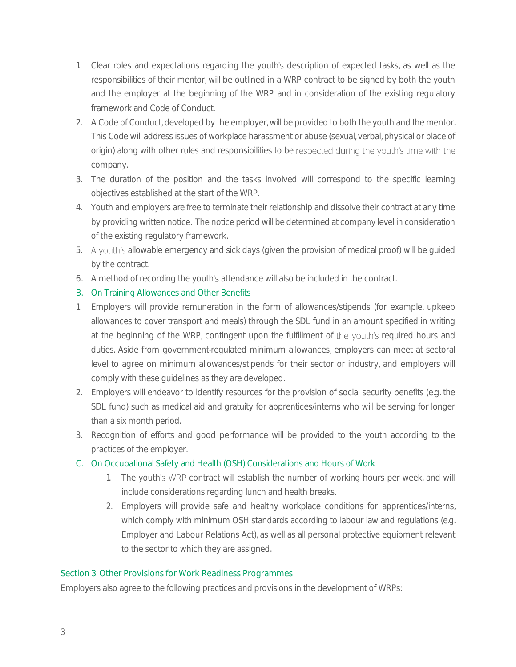- 1. Clear roles and expectations regarding the youth's description of expected tasks, as well as the responsibilities of their mentor, will be outlined in a WRP contract to be signed by both the youth and the employer at the beginning of the WRP and in consideration of the existing regulatory framework and Code of Conduct.
- 2. A Code of Conduct, developed by the employer, will be provided to both the youth and the mentor. This Code will address issues of workplace harassment or abuse (sexual, verbal, physical or place of origin) along with other rules and responsibilities to be respected during the youth's time with the company.
- 3. The duration of the position and the tasks involved will correspond to the specific learning objectives established at the start of the WRP.
- 4. Youth and employers are free to terminate their relationship and dissolve their contract at any time by providing written notice. The notice period will be determined at company level in consideration of the existing regulatory framework.
- 5. A youth's allowable emergency and sick days (given the provision of medical proof) will be guided by the contract.
- 6. A method of recording the youth's attendance will also be included in the contract.
- B. On Training Allowances and Other Benefits
- 1. Employers will provide remuneration in the form of allowances/stipends (for example, upkeep allowances to cover transport and meals) through the SDL fund in an amount specified in writing at the beginning of the WRP, contingent upon the fulfillment of the youth's required hours and duties. Aside from government-regulated minimum allowances, employers can meet at sectoral level to agree on minimum allowances/stipends for their sector or industry, and employers will comply with these guidelines as they are developed.
- 2. Employers will endeavor to identify resources for the provision of social security benefits (e.g. the SDL fund) such as medical aid and gratuity for apprentices/interns who will be serving for longer than a six month period.
- 3. Recognition of efforts and good performance will be provided to the youth according to the practices of the employer.
- C. On Occupational Safety and Health (OSH) Considerations and Hours of Work
	- 1. The youth's WRP contract will establish the number of working hours per week, and will include considerations regarding lunch and health breaks.
	- 2. Employers will provide safe and healthy workplace conditions for apprentices/interns, which comply with minimum OSH standards according to labour law and regulations (e.g. Employer and Labour Relations Act), as well as all personal protective equipment relevant to the sector to which they are assigned.

# <span id="page-3-0"></span>Section 3. Other Provisions for Work Readiness Programmes

Employers also agree to the following practices and provisions in the development of WRPs: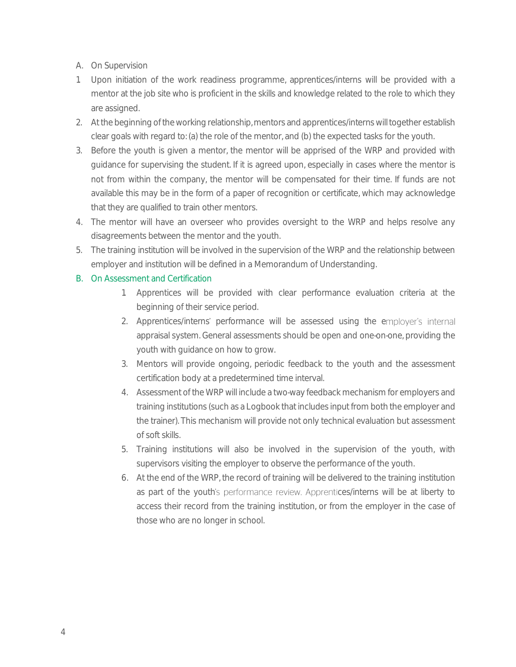- A. On Supervision
- 1. Upon initiation of the work readiness programme, apprentices/interns will be provided with a mentor at the job site who is proficient in the skills and knowledge related to the role to which they are assigned.
- 2. At the beginning of the working relationship, mentors and apprentices/interns will together establish clear goals with regard to: (a) the role of the mentor, and (b) the expected tasks for the youth.
- 3. Before the youth is given a mentor, the mentor will be apprised of the WRP and provided with guidance for supervising the student. If it is agreed upon, especially in cases where the mentor is not from within the company, the mentor will be compensated for their time. If funds are not available this may be in the form of a paper of recognition or certificate, which may acknowledge that they are qualified to train other mentors.
- 4. The mentor will have an overseer who provides oversight to the WRP and helps resolve any disagreements between the mentor and the youth.
- 5. The training institution will be involved in the supervision of the WRP and the relationship between employer and institution will be defined in a Memorandum of Understanding.

## B. On Assessment and Certification

- 1. Apprentices will be provided with clear performance evaluation criteria at the beginning of their service period.
- 2. Apprentices/interns' performance will be assessed using the employer's internal appraisal system. General assessments should be open and one-on-one, providing the youth with guidance on how to grow.
- 3. Mentors will provide ongoing, periodic feedback to the youth and the assessment certification body at a predetermined time interval.
- 4. Assessment of the WRP will include a two-way feedback mechanism for employers and training institutions (such as a Logbook that includes input from both the employer and the trainer). This mechanism will provide not only technical evaluation but assessment of soft skills.
- 5. Training institutions will also be involved in the supervision of the youth, with supervisors visiting the employer to observe the performance of the youth.
- 6. At the end of the WRP, the record of training will be delivered to the training institution as part of the youth's performance review. Apprentices/interns will be at liberty to access their record from the training institution, or from the employer in the case of those who are no longer in school.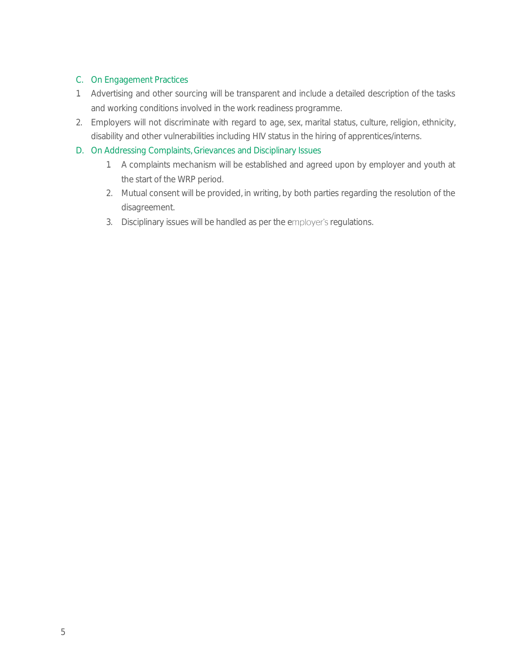# C. On Engagement Practices

- 1. Advertising and other sourcing will be transparent and include a detailed description of the tasks and working conditions involved in the work readiness programme.
- 2. Employers will not discriminate with regard to age, sex, marital status, culture, religion, ethnicity, disability and other vulnerabilities including HIV status in the hiring of apprentices/interns.
- D. On Addressing Complaints, Grievances and Disciplinary Issues
	- 1. A complaints mechanism will be established and agreed upon by employer and youth at the start of the WRP period.
	- 2. Mutual consent will be provided, in writing, by both parties regarding the resolution of the disagreement.
	- 3. Disciplinary issues will be handled as per the employer's regulations.